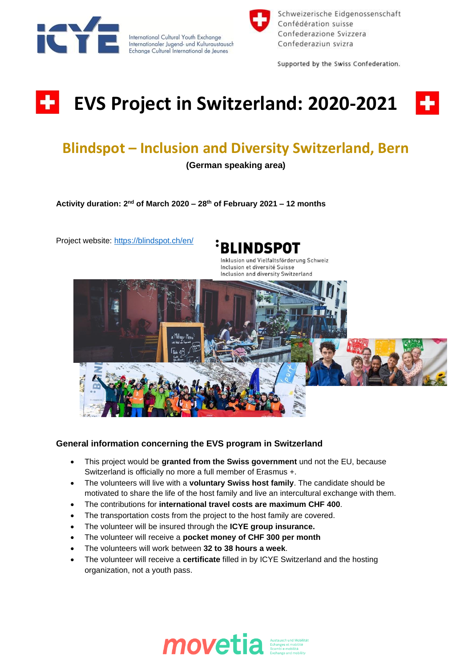



Schweizerische Eidgenossenschaft Confédération suisse Confederazione Svizzera Confederaziun svizra

Supported by the Swiss Confederation.

## ÷ **EVS Project in Switzerland: 2020-2021**



## **Blindspot – Inclusion and Diversity Switzerland, Bern**

**(German speaking area)**

**Activity duration: 2 nd of March 2020 – 28th of February 2021 – 12 months** 

Project website: <https://blindspot.ch/en/>



Inklusion und Vielfaltsförderung Schweiz Inclusion et diversité Suisse Inclusion and diversity Switzerland



## **General information concerning the EVS program in Switzerland**

- This project would be **granted from the Swiss government** und not the EU, because Switzerland is officially no more a full member of Erasmus +.
- The volunteers will live with a **voluntary Swiss host family**. The candidate should be motivated to share the life of the host family and live an intercultural exchange with them.
- The contributions for **international travel costs are maximum CHF 400**.
- The transportation costs from the project to the host family are covered.
- The volunteer will be insured through the **ICYE group insurance.**
- The volunteer will receive a **pocket money of CHF 300 per month**
- The volunteers will work between **32 to 38 hours a week**.
- The volunteer will receive a **certificate** filled in by ICYE Switzerland and the hosting organization, not a youth pass.